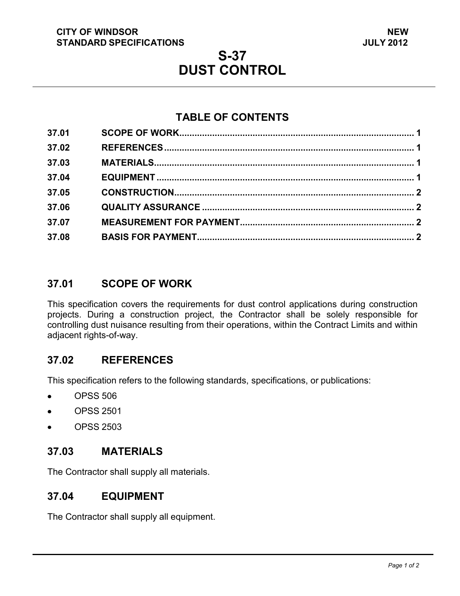#### **CITY OF WINDSOR STANDARD SPECIFICATIONS**

# **S-37 DUST CONTROL**

## **TABLE OF CONTENTS**

| 37.01 |  |
|-------|--|
| 37.02 |  |
| 37.03 |  |
| 37.04 |  |
| 37.05 |  |
| 37.06 |  |
| 37.07 |  |
| 37.08 |  |
|       |  |

### <span id="page-0-3"></span>**37.01 SCOPE OF WORK**

This specification covers the requirements for dust control applications during construction projects. During a construction project, the Contractor shall be solely responsible for controlling dust nuisance resulting from their operations, within the Contract Limits and within adjacent rights-of-way.

## <span id="page-0-0"></span>**37.02 REFERENCES**

This specification refers to the following standards, specifications, or publications:

- OPSS 506  $\bullet$
- OPSS 2501  $\bullet$
- OPSS 2503  $\bullet$

#### <span id="page-0-1"></span>**37.03 MATERIALS**

The Contractor shall supply all materials.

#### <span id="page-0-2"></span>**37.04 EQUIPMENT**

The Contractor shall supply all equipment.